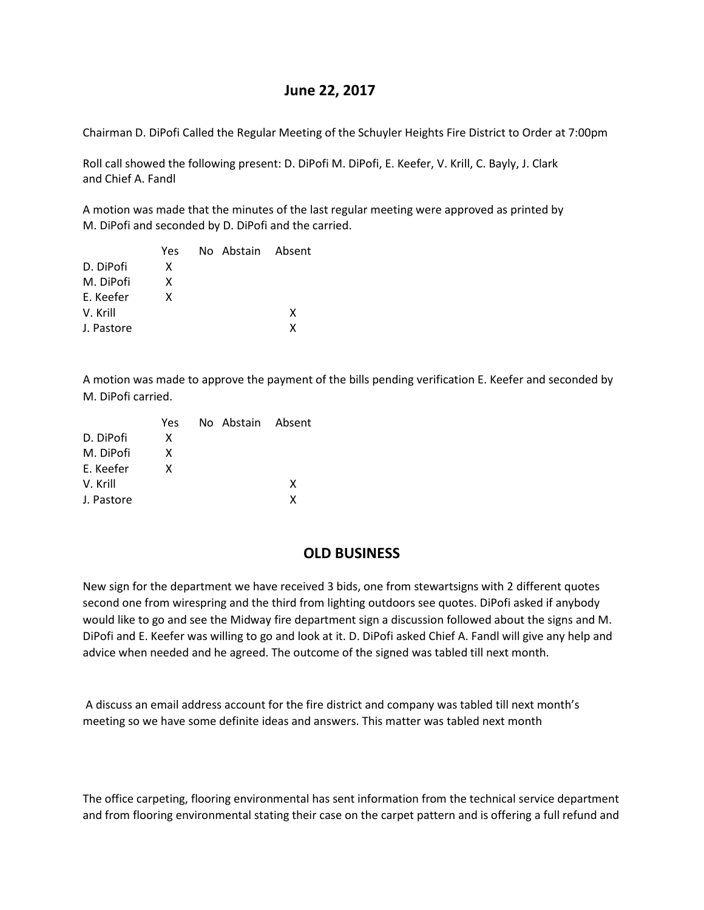# **June 22, 2017**

Chairman D. DiPofi Called the Regular Meeting of the Schuyler Heights Fire District to Order at 7:00pm

Roll call showed the following present: D. DiPofi M. DiPofi, E. Keefer, V. Krill, C. Bayly, J. Clark and Chief A. Fandl

A motion was made that the minutes of the last regular meeting were approved as printed by M. DiPofi and seconded by D. DiPofi and the carried.

|            | Yes | No Abstain Absent |   |
|------------|-----|-------------------|---|
| D. DiPofi  | x   |                   |   |
| M. DiPofi  | x   |                   |   |
| F. Keefer  | x   |                   |   |
| V. Krill   |     |                   | x |
| J. Pastore |     |                   | x |

A motion was made to approve the payment of the bills pending verification E. Keefer and seconded by M. DiPofi carried.

| Yes |  |                   |
|-----|--|-------------------|
| x   |  |                   |
| x   |  |                   |
| x   |  |                   |
|     |  | x                 |
|     |  | x                 |
|     |  | No Abstain Absent |

# **OLD BUSINESS**

New sign for the department we have received 3 bids, one from stewartsigns with 2 different quotes second one from wirespring and the third from lighting outdoors see quotes. DiPofi asked if anybody would like to go and see the Midway fire department sign a discussion followed about the signs and M. DiPofi and E. Keefer was willing to go and look at it. D. DiPofi asked Chief A. Fandl will give any help and advice when needed and he agreed. The outcome of the signed was tabled till next month.

A discuss an email address account for the fire district and company was tabled till next month's meeting so we have some definite ideas and answers. This matter was tabled next month

The office carpeting, flooring environmental has sent information from the technical service department and from flooring environmental stating their case on the carpet pattern and is offering a full refund and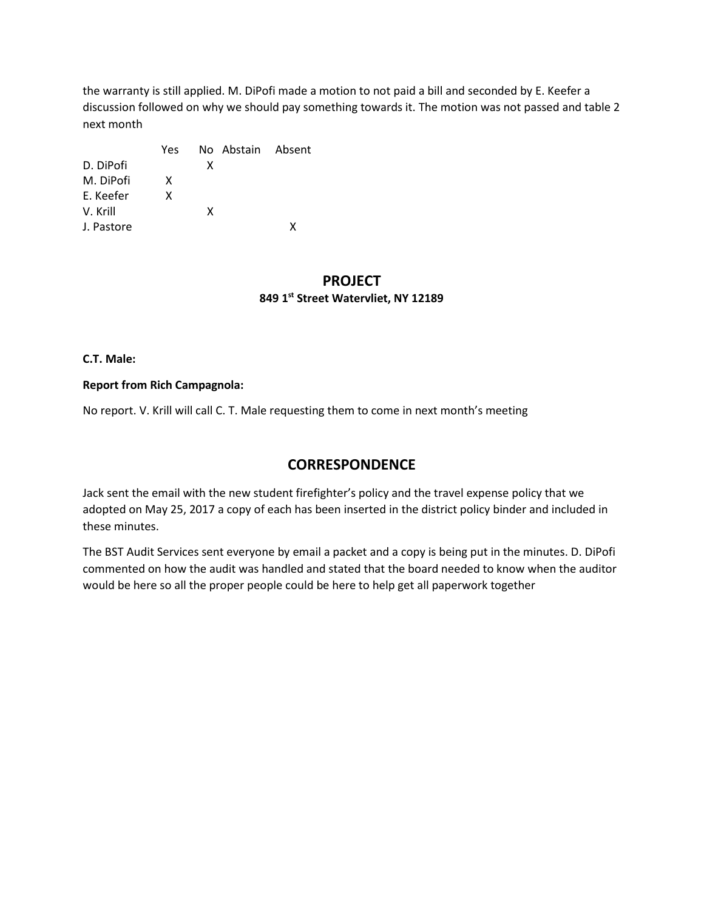the warranty is still applied. M. DiPofi made a motion to not paid a bill and seconded by E. Keefer a discussion followed on why we should pay something towards it. The motion was not passed and table 2 next month

|            | Yes |   | No Abstain Absent |  |
|------------|-----|---|-------------------|--|
| D. DiPofi  |     | x |                   |  |
| M. DiPofi  | X   |   |                   |  |
| E. Keefer  | x   |   |                   |  |
| V. Krill   |     | x |                   |  |
| J. Pastore |     |   |                   |  |

## **PROJECT 849 1st Street Watervliet, NY 12189**

#### **C.T. Male:**

#### **Report from Rich Campagnola:**

No report. V. Krill will call C. T. Male requesting them to come in next month's meeting

# **CORRESPONDENCE**

Jack sent the email with the new student firefighter's policy and the travel expense policy that we adopted on May 25, 2017 a copy of each has been inserted in the district policy binder and included in these minutes.

The BST Audit Services sent everyone by email a packet and a copy is being put in the minutes. D. DiPofi commented on how the audit was handled and stated that the board needed to know when the auditor would be here so all the proper people could be here to help get all paperwork together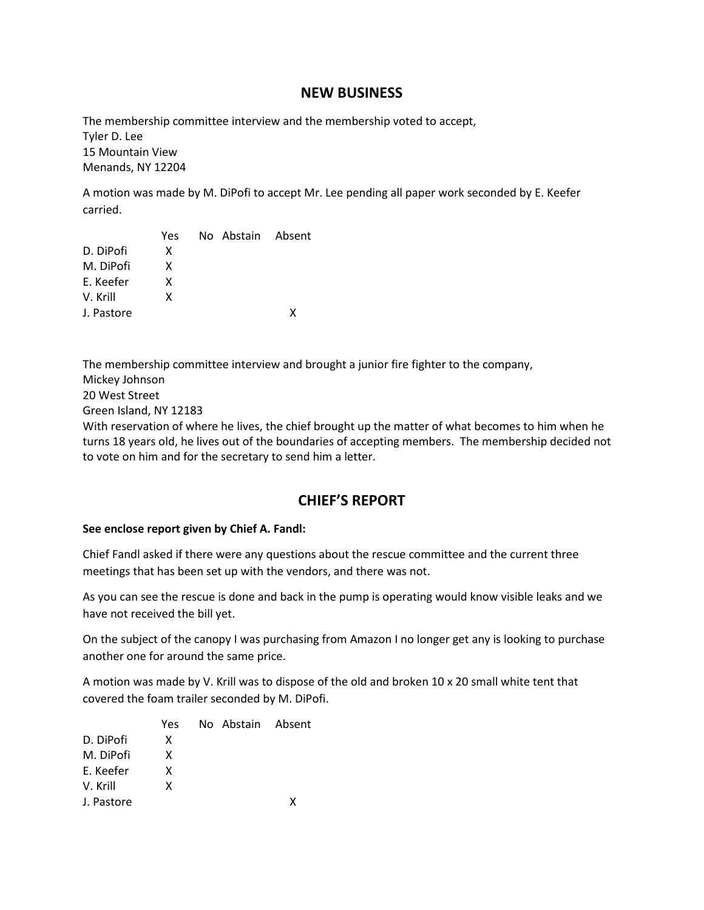## **NEW BUSINESS**

The membership committee interview and the membership voted to accept, Tyler D. Lee 15 Mountain View Menands, NY 12204

A motion was made by M. DiPofi to accept Mr. Lee pending all paper work seconded by E. Keefer carried.

|            | Yes | No Abstain Absent |   |
|------------|-----|-------------------|---|
| D. DiPofi  | x   |                   |   |
| M. DiPofi  | x   |                   |   |
| F. Keefer  | x   |                   |   |
| V. Krill   | x   |                   |   |
| J. Pastore |     |                   | x |
|            |     |                   |   |

The membership committee interview and brought a junior fire fighter to the company, Mickey Johnson 20 West Street Green Island, NY 12183 With reservation of where he lives, the chief brought up the matter of what becomes to him when he

turns 18 years old, he lives out of the boundaries of accepting members. The membership decided not to vote on him and for the secretary to send him a letter.

# **CHIEF'S REPORT**

#### **See enclose report given by Chief A. Fandl:**

Chief Fandl asked if there were any questions about the rescue committee and the current three meetings that has been set up with the vendors, and there was not.

As you can see the rescue is done and back in the pump is operating would know visible leaks and we have not received the bill yet.

On the subject of the canopy I was purchasing from Amazon I no longer get any is looking to purchase another one for around the same price.

A motion was made by V. Krill was to dispose of the old and broken 10 x 20 small white tent that covered the foam trailer seconded by M. DiPofi.

|            | Yes | No Abstain Absent |   |
|------------|-----|-------------------|---|
| D. DiPofi  | x   |                   |   |
| M. DiPofi  | x   |                   |   |
| F. Keefer  | x   |                   |   |
| V. Krill   | x   |                   |   |
| J. Pastore |     |                   | x |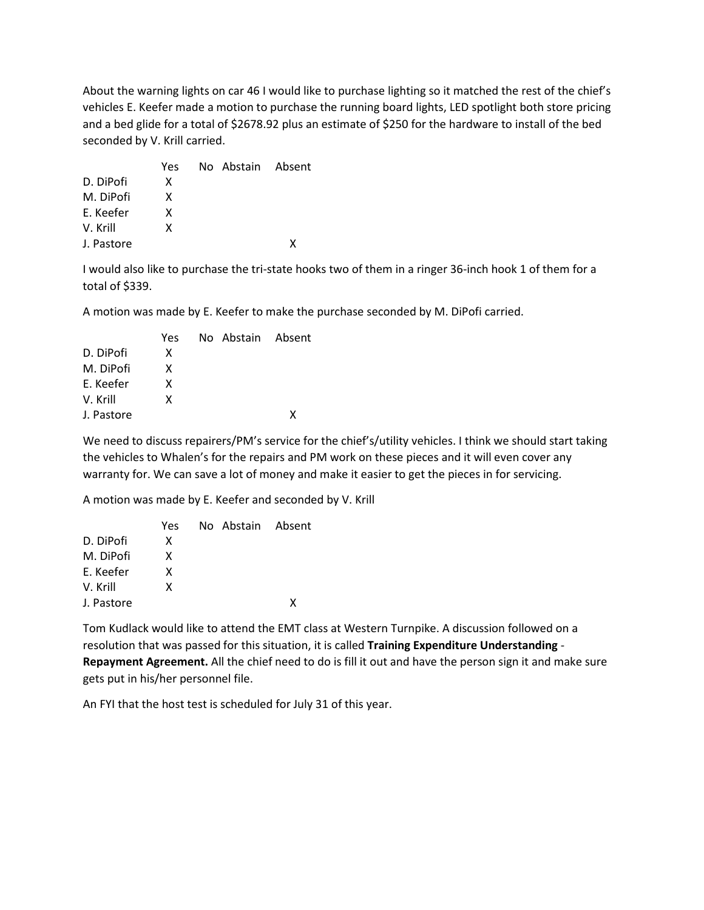About the warning lights on car 46 I would like to purchase lighting so it matched the rest of the chief's vehicles E. Keefer made a motion to purchase the running board lights, LED spotlight both store pricing and a bed glide for a total of \$2678.92 plus an estimate of \$250 for the hardware to install of the bed seconded by V. Krill carried.

|            | Yes | No Abstain Absent |   |
|------------|-----|-------------------|---|
| D. DiPofi  | x   |                   |   |
| M. DiPofi  | x   |                   |   |
| E. Keefer  | x   |                   |   |
| V. Krill   | x   |                   |   |
| J. Pastore |     |                   | x |

I would also like to purchase the tri-state hooks two of them in a ringer 36-inch hook 1 of them for a total of \$339.

A motion was made by E. Keefer to make the purchase seconded by M. DiPofi carried.

| Yes |  |                   |
|-----|--|-------------------|
| x   |  |                   |
| x   |  |                   |
| x   |  |                   |
| x   |  |                   |
|     |  | χ                 |
|     |  | No Abstain Absent |

We need to discuss repairers/PM's service for the chief's/utility vehicles. I think we should start taking the vehicles to Whalen's for the repairs and PM work on these pieces and it will even cover any warranty for. We can save a lot of money and make it easier to get the pieces in for servicing.

A motion was made by E. Keefer and seconded by V. Krill

|            | Yes. | No Abstain Absent |   |
|------------|------|-------------------|---|
| D. DiPofi  | x    |                   |   |
| M. DiPofi  | x    |                   |   |
| F. Keefer  | x    |                   |   |
| V. Krill   | x    |                   |   |
| J. Pastore |      |                   | χ |

Tom Kudlack would like to attend the EMT class at Western Turnpike. A discussion followed on a resolution that was passed for this situation, it is called **Training Expenditure Understanding** - **Repayment Agreement.** All the chief need to do is fill it out and have the person sign it and make sure gets put in his/her personnel file.

An FYI that the host test is scheduled for July 31 of this year.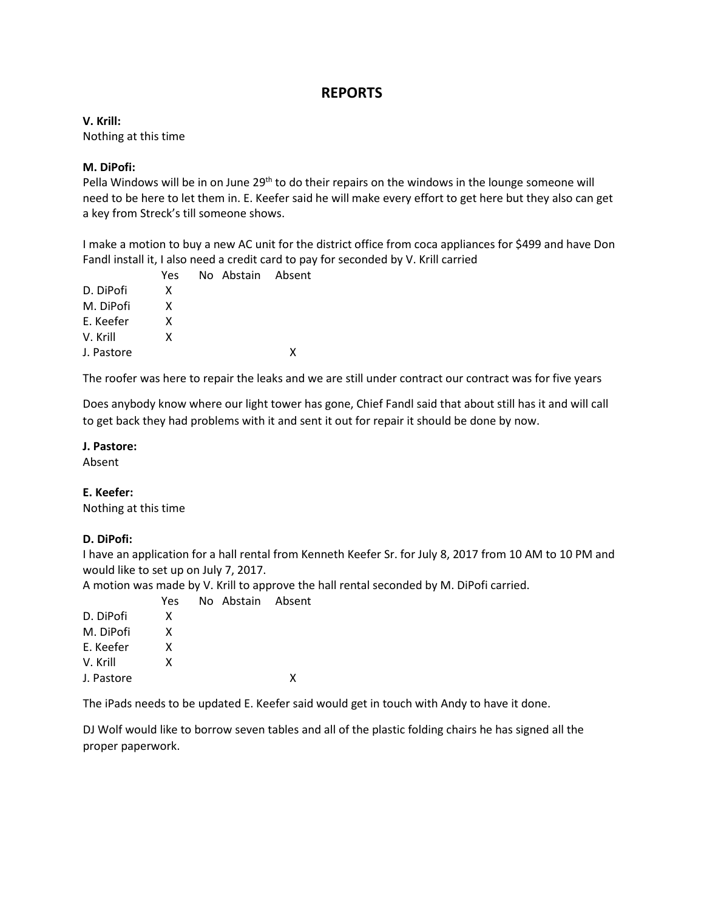# **REPORTS**

**V. Krill:** Nothing at this time

#### **M. DiPofi:**

Pella Windows will be in on June 29<sup>th</sup> to do their repairs on the windows in the lounge someone will need to be here to let them in. E. Keefer said he will make every effort to get here but they also can get a key from Streck's till someone shows.

I make a motion to buy a new AC unit for the district office from coca appliances for \$499 and have Don Fandl install it, I also need a credit card to pay for seconded by V. Krill carried

|            | Yes | No Abstain Absent |   |
|------------|-----|-------------------|---|
| D. DiPofi  | x   |                   |   |
| M. DiPofi  | x   |                   |   |
| E. Keefer  | x   |                   |   |
| V. Krill   | x   |                   |   |
| J. Pastore |     |                   | x |
|            |     |                   |   |

The roofer was here to repair the leaks and we are still under contract our contract was for five years

Does anybody know where our light tower has gone, Chief Fandl said that about still has it and will call to get back they had problems with it and sent it out for repair it should be done by now.

#### **J. Pastore:**

Absent

#### **E. Keefer:**

Nothing at this time

#### **D. DiPofi:**

I have an application for a hall rental from Kenneth Keefer Sr. for July 8, 2017 from 10 AM to 10 PM and would like to set up on July 7, 2017.

A motion was made by V. Krill to approve the hall rental seconded by M. DiPofi carried.

|            | Yes | No Abstain Absent |   |
|------------|-----|-------------------|---|
| D. DiPofi  | x   |                   |   |
| M. DiPofi  | x   |                   |   |
| E. Keefer  | x   |                   |   |
| V. Krill   | x   |                   |   |
| J. Pastore |     |                   | x |
|            |     |                   |   |

The iPads needs to be updated E. Keefer said would get in touch with Andy to have it done.

DJ Wolf would like to borrow seven tables and all of the plastic folding chairs he has signed all the proper paperwork.